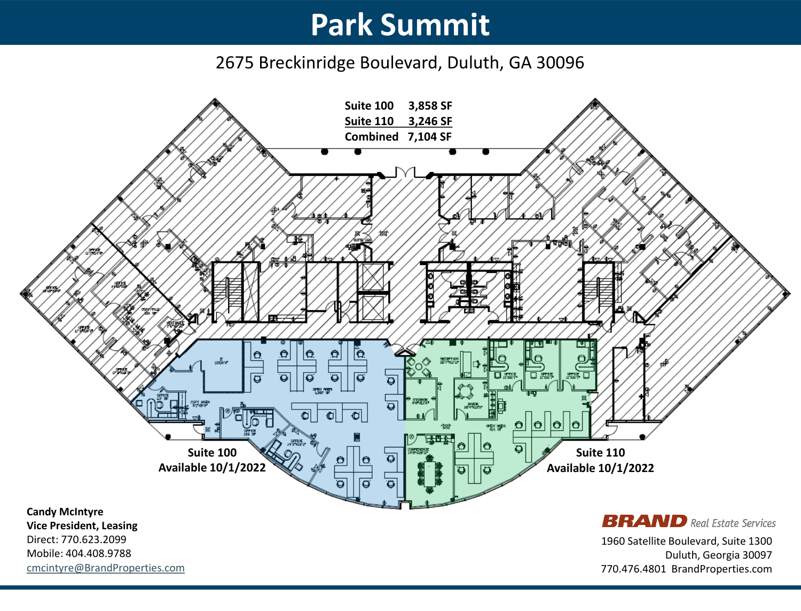2675 Breckinridge Boulevard, Duluth, GA 30096

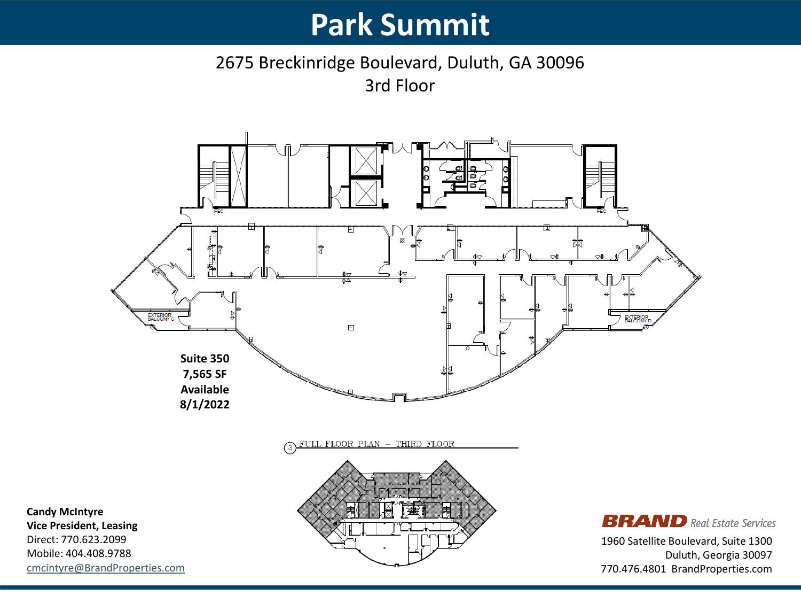#### 2675 Breckinridge Boulevard, Duluth, GA 30096 3rd Floor



770.476.4801 BrandProperties.com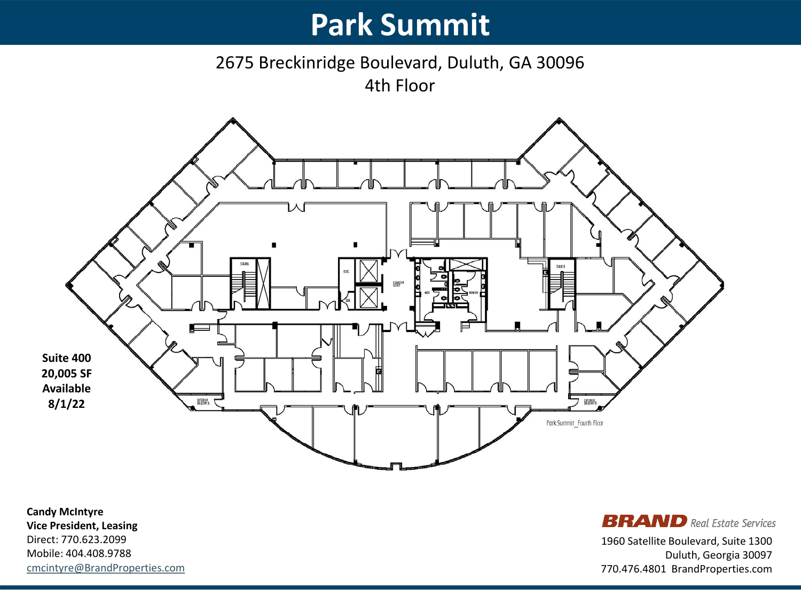2675 Breckinridge Boulevard, Duluth, GA 30096 4th Floor



**Candy McIntyre Vice President, Leasing** Direct: 770.623.2099 Mobile: 404.408.9788 [cmcintyre@BrandProperties.com](mailto:cmcintyre@wheelerbrand.com)

**BRAND** Real Estate Services 1960 Satellite Boulevard, Suite 1300 Duluth, Georgia 30097

770.476.4801 BrandProperties.com